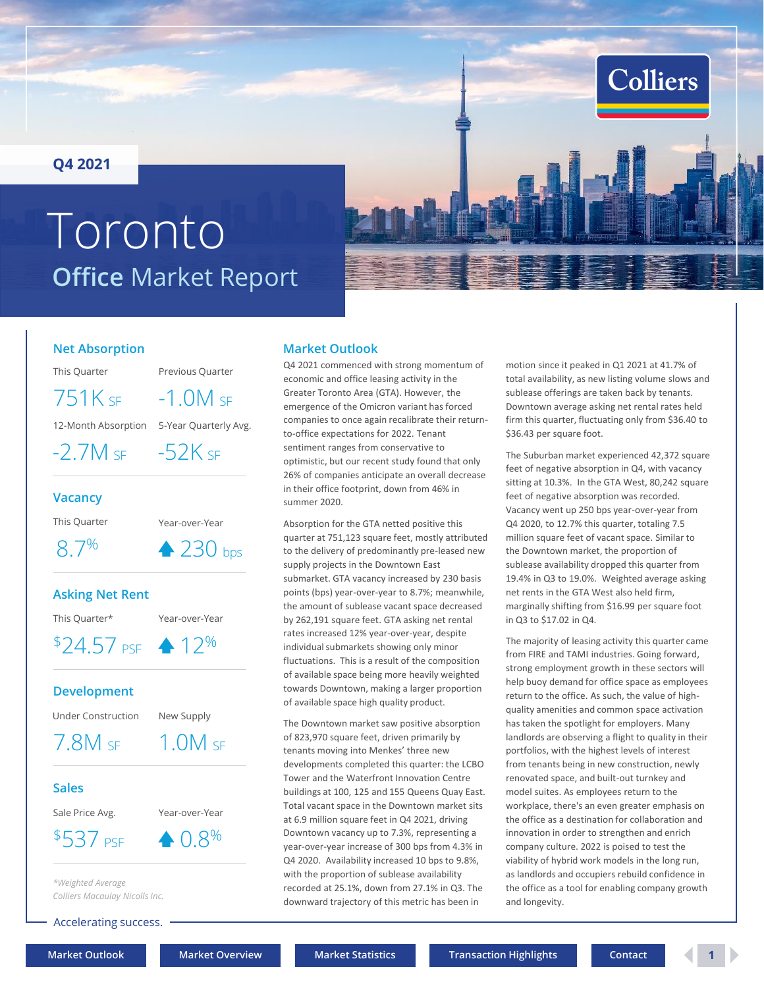# **Colliers**

<span id="page-0-0"></span>**Q4 2021**

# **Office** Market Report Toronto



### **Net Absorption**

This Quarter Previous Quarter

 $751K$  sf  $-1.0M$  sf

12-Month Absorption 5-Year Quarterly Avg.

 $-2.7M$  SF  $-52K$  SF

### **Vacancy**

This Quarter Year-over-Year

 $8.7\%$   $\rightarrow$  230 bps

### **Asking Net Rent**

 $$24.57$  psf  $\spadesuit$  12<sup>%</sup>

This Quarter\* Year-over-Year

### **Development**

Under Construction New Supply

7.8M SF 1.0M SF

### **Sales**

Sale Price Avg. Year-over-Year

 $$537 \text{ ps} \rightarrow 0.8\%$ 

*\*Weighted Average Colliers Macaulay Nicolls Inc.* 

Accelerating success.

### **Market Outlook**

Q4 2021 commenced with strong momentum of economic and office leasing activity in the Greater Toronto Area (GTA). However, the emergence of the Omicron variant has forced companies to once again recalibrate their returnto-office expectations for 2022. Tenant sentiment ranges from conservative to optimistic, but our recent study found that only 26% of companies anticipate an overall decrease in their office footprint, down from 46% in summer 2020.

Absorption for the GTA netted positive this quarter at 751,123 square feet, mostly attributed to the delivery of predominantly pre-leased new supply projects in the Downtown East submarket. GTA vacancy increased by 230 basis points (bps) year-over-year to 8.7%; meanwhile, the amount of sublease vacant space decreased by 262,191 square feet. GTA asking net rental rates increased 12% year-over-year, despite individual submarkets showing only minor fluctuations. This is a result of the composition of available space being more heavily weighted towards Downtown, making a larger proportion of available space high quality product.

The Downtown market saw positive absorption of 823,970 square feet, driven primarily by tenants moving into Menkes' three new developments completed this quarter: the LCBO Tower and the Waterfront Innovation Centre buildings at 100, 125 and 155 Queens Quay East. Total vacant space in the Downtown market sits at 6.9 million square feet in Q4 2021, driving Downtown vacancy up to 7.3%, representing a year-over-year increase of 300 bps from 4.3% in Q4 2020. Availability increased 10 bps to 9.8%, with the proportion of sublease availability recorded at 25.1%, down from 27.1% in Q3. The downward trajectory of this metric has been in

motion since it peaked in Q1 2021 at 41.7% of total availability, as new listing volume slows and sublease offerings are taken back by tenants. Downtown average asking net rental rates held firm this quarter, fluctuating only from \$36.40 to \$36.43 per square foot.

The Suburban market experienced 42,372 square feet of negative absorption in Q4, with vacancy sitting at 10.3%. In the GTA West, 80,242 square feet of negative absorption was recorded. Vacancy went up 250 bps year-over-year from Q4 2020, to 12.7% this quarter, totaling 7.5 million square feet of vacant space. Similar to the Downtown market, the proportion of sublease availability dropped this quarter from 19.4% in Q3 to 19.0%. Weighted average asking net rents in the GTA West also held firm, marginally shifting from \$16.99 per square foot in Q3 to \$17.02 in Q4.

The majority of leasing activity this quarter came from FIRE and TAMI industries. Going forward, strong employment growth in these sectors will help buoy demand for office space as employees return to the office. As such, the value of highquality amenities and common space activation has taken the spotlight for employers. Many landlords are observing a flight to quality in their portfolios, with the highest levels of interest from tenants being in new construction, newly renovated space, and built-out turnkey and model suites. As employees return to the workplace, there's an even greater emphasis on the office as a destination for collaboration and innovation in order to strengthen and enrich company culture. 2022 is poised to test the viability of hybrid work models in the long run, as landlords and occupiers rebuild confidence in the office as a tool for enabling company growth and longevity.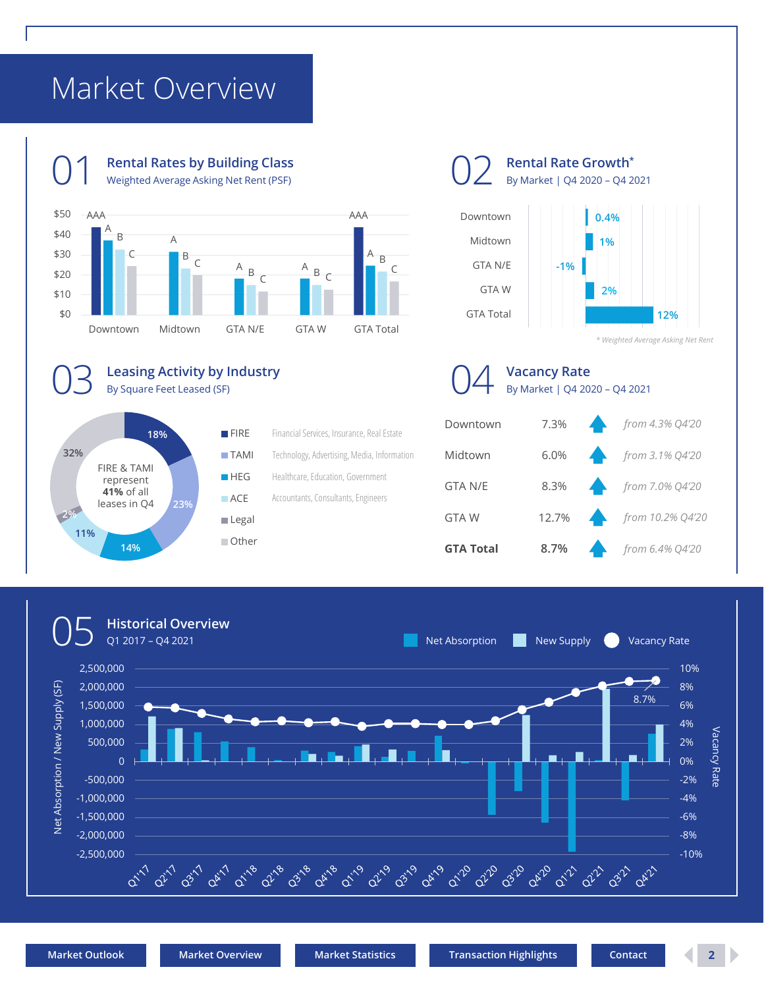# <span id="page-1-0"></span>Market Overview

By Square Feet Leased (SF)

**23%**

**18%**

**14%**

FIRE & TAMI represent **41%** of all leases in Q4

**11%**

**2%**

**32%**



**FIRE** TAMI **HEG ACE** Legal Other Financial Services, Insurance, Real Estate Technology, Advertising, Media, Information

Healthcare, Education, Government Accountants, Consultants, Engineers **Rental Rate Growth\*** By Market | Q4 2020 – Q4 2021



*\* Weighted Average Asking Net Rent*



| <b>GTA Total</b> |  | 8.7% from 6.4% Q4'20   |
|------------------|--|------------------------|
| <b>GTAW</b>      |  | 12.7% from 10.2% Q4'20 |
| <b>GTAN/E</b>    |  | 8.3% from 7.0% Q4'20   |
| Midtown          |  | 6.0% from 3.1% Q4'20   |
| Downtown         |  | 7.3% from 4.3% Q4'20   |
|                  |  |                        |

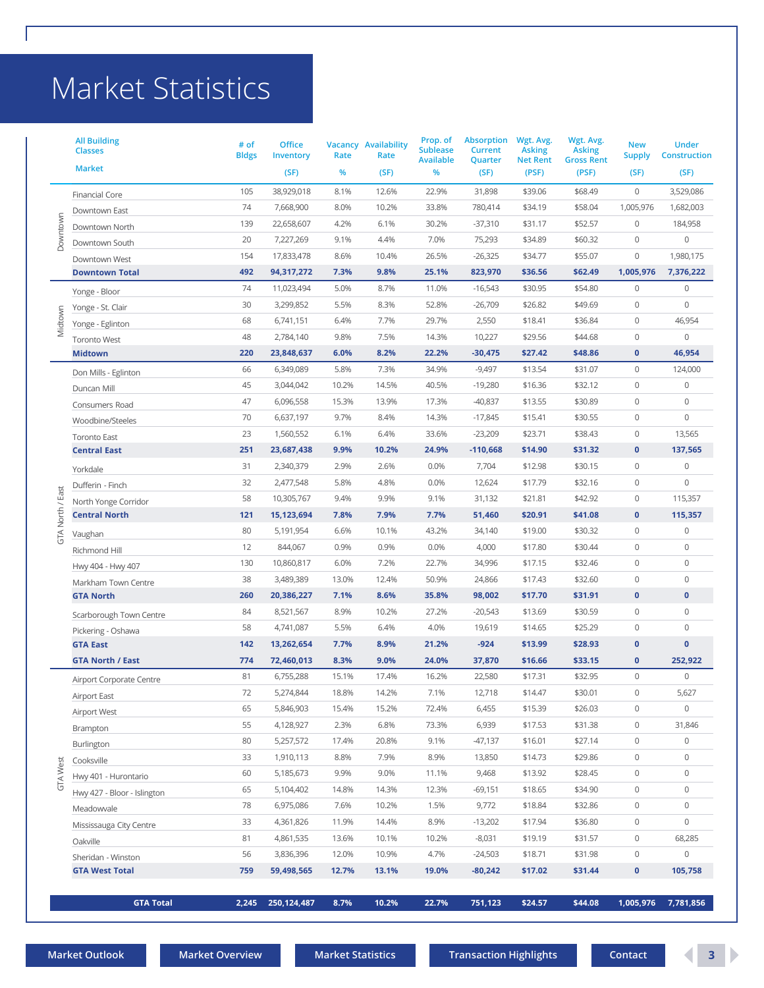# <span id="page-2-0"></span>Market Statistics

|                         | <b>All Building</b><br><b>Classes</b> | # of<br><b>Bldgs</b> | <b>Office</b><br>Inventory | Rate  | <b>Vacancy Availability</b><br>Rate | Prop. of<br><b>Sublease</b><br><b>Available</b> | <b>Absorption</b><br><b>Current</b><br>Quarter | Wgt. Avg.<br><b>Asking</b><br><b>Net Rent</b> | Wgt. Avg.<br><b>Asking</b><br><b>Gross Rent</b> | <b>New</b><br><b>Supply</b> | <b>Under</b><br><b>Construction</b> |
|-------------------------|---------------------------------------|----------------------|----------------------------|-------|-------------------------------------|-------------------------------------------------|------------------------------------------------|-----------------------------------------------|-------------------------------------------------|-----------------------------|-------------------------------------|
|                         | <b>Market</b>                         |                      | (SF)                       | %     | (SF)                                | %                                               | (SF)                                           | (PSF)                                         | (PSF)                                           | (SF)                        | (SF)                                |
| Downtown                | Financial Core                        | 105                  | 38,929,018                 | 8.1%  | 12.6%                               | 22.9%                                           | 31,898                                         | \$39.06                                       | \$68.49                                         | $\mathbb O$                 | 3,529,086                           |
|                         | Downtown East                         | 74                   | 7,668,900                  | 8.0%  | 10.2%                               | 33.8%                                           | 780,414                                        | \$34.19                                       | \$58.04                                         | 1,005,976                   | 1,682,003                           |
|                         | Downtown North                        | 139                  | 22,658,607                 | 4.2%  | 6.1%                                | 30.2%                                           | $-37,310$                                      | \$31.17                                       | \$52.57                                         | $\mathbf 0$                 | 184,958                             |
|                         | Downtown South                        | 20                   | 7,227,269                  | 9.1%  | 4.4%                                | 7.0%                                            | 75,293                                         | \$34.89                                       | \$60.32                                         | $\mathbb O$                 | 0                                   |
|                         | Downtown West                         | 154                  | 17,833,478                 | 8.6%  | 10.4%                               | 26.5%                                           | $-26,325$                                      | \$34.77                                       | \$55.07                                         | $\mathbb O$                 | 1,980,175                           |
|                         | <b>Downtown Total</b>                 | 492                  | 94,317,272                 | 7.3%  | 9.8%                                | 25.1%                                           | 823,970                                        | \$36.56                                       | \$62.49                                         | 1,005,976                   | 7,376,222                           |
|                         | Yonge - Bloor                         | 74                   | 11,023,494                 | 5.0%  | 8.7%                                | 11.0%                                           | $-16,543$                                      | \$30.95                                       | \$54.80                                         | $\mathbb O$                 | 0                                   |
|                         | Yonge - St. Clair                     | 30                   | 3,299,852                  | 5.5%  | 8.3%                                | 52.8%                                           | $-26,709$                                      | \$26.82                                       | \$49.69                                         | $\mathbb O$                 | $\mathsf{O}\xspace$                 |
| Midtown                 | Yonge - Eglinton                      | 68                   | 6,741,151                  | 6.4%  | 7.7%                                | 29.7%                                           | 2,550                                          | \$18.41                                       | \$36.84                                         | $\mathbf 0$                 | 46,954                              |
|                         | <b>Toronto West</b>                   | 48                   | 2,784,140                  | 9.8%  | 7.5%                                | 14.3%                                           | 10,227                                         | \$29.56                                       | \$44.68                                         | $\mathbf 0$                 | 0                                   |
|                         | <b>Midtown</b>                        | 220                  | 23,848,637                 | 6.0%  | 8.2%                                | 22.2%                                           | $-30,475$                                      | \$27.42                                       | \$48.86                                         | $\mathbf 0$                 | 46,954                              |
|                         | Don Mills - Eglinton                  | 66                   | 6,349,089                  | 5.8%  | 7.3%                                | 34.9%                                           | $-9,497$                                       | \$13.54                                       | \$31.07                                         | $\mathbb O$                 | 124,000                             |
|                         | Duncan Mill                           | 45                   | 3,044,042                  | 10.2% | 14.5%                               | 40.5%                                           | $-19,280$                                      | \$16.36                                       | \$32.12                                         | $\mathbb O$                 | $\mathsf{O}\xspace$                 |
|                         | Consumers Road                        | 47                   | 6,096,558                  | 15.3% | 13.9%                               | 17.3%                                           | $-40,837$                                      | \$13.55                                       | \$30.89                                         | $\mathbb O$                 | $\mathsf{O}\xspace$                 |
|                         | Woodbine/Steeles                      | 70                   | 6,637,197                  | 9.7%  | 8.4%                                | 14.3%                                           | $-17,845$                                      | \$15.41                                       | \$30.55                                         | $\mathbb O$                 | $\overline{0}$                      |
|                         | <b>Toronto East</b>                   | 23                   | 1,560,552                  | 6.1%  | 6.4%                                | 33.6%                                           | $-23,209$                                      | \$23.71                                       | \$38.43                                         | $\mathbb O$                 | 13,565                              |
|                         | <b>Central East</b>                   | 251                  | 23,687,438                 | 9.9%  | 10.2%                               | 24.9%                                           | $-110,668$                                     | \$14.90                                       | \$31.32                                         | $\mathbf 0$                 | 137,565                             |
|                         | Yorkdale                              | 31                   | 2,340,379                  | 2.9%  | 2.6%                                | 0.0%                                            | 7,704                                          | \$12.98                                       | \$30.15                                         | $\mathbb O$                 | 0                                   |
|                         | Dufferin - Finch                      | 32                   | 2,477,548                  | 5.8%  | 4.8%                                | 0.0%                                            | 12,624                                         | \$17.79                                       | \$32.16                                         | $\mathbb O$                 | $\overline{0}$                      |
|                         | North Yonge Corridor                  | 58                   | 10,305,767                 | 9.4%  | 9.9%                                | 9.1%                                            | 31,132                                         | \$21.81                                       | \$42.92                                         | $\mathbb O$                 | 115,357                             |
|                         | <b>Central North</b>                  | $121$                | 15,123,694                 | 7.8%  | 7.9%                                | 7.7%                                            | 51,460                                         | \$20.91                                       | \$41.08                                         | $\mathbf 0$                 | 115,357                             |
| <b>GTA North / East</b> | Vaughan                               | 80                   | 5,191,954                  | 6.6%  | 10.1%                               | 43.2%                                           | 34,140                                         | \$19.00                                       | \$30.32                                         | $\mathsf{O}\xspace$         | 0                                   |
|                         | Richmond Hill                         | 12                   | 844,067                    | 0.9%  | 0.9%                                | 0.0%                                            | 4,000                                          | \$17.80                                       | \$30.44                                         | $\mathbb O$                 | $\circ$                             |
|                         | Hwy 404 - Hwy 407                     | 130                  | 10,860,817                 | 6.0%  | 7.2%                                | 22.7%                                           | 34,996                                         | \$17.15                                       | \$32.46                                         | $\mathbb O$                 | 0                                   |
|                         | Markham Town Centre                   | 38                   | 3,489,389                  | 13.0% | 12.4%                               | 50.9%                                           | 24,866                                         | \$17.43                                       | \$32.60                                         | $\mathbb O$                 | $\mathbf 0$                         |
|                         | <b>GTA North</b>                      | 260                  | 20,386,227                 | 7.1%  | 8.6%                                | 35.8%                                           | 98,002                                         | \$17.70                                       | \$31.91                                         | $\mathbf 0$                 | $\mathbf 0$                         |
|                         | Scarborough Town Centre               | 84                   | 8,521,567                  | 8.9%  | 10.2%                               | 27.2%                                           | $-20,543$                                      | \$13.69                                       | \$30.59                                         | $\mathbf 0$                 | $\mathsf{O}\xspace$                 |
|                         | Pickering - Oshawa                    | 58                   | 4,741,087                  | 5.5%  | 6.4%                                | 4.0%                                            | 19,619                                         | \$14.65                                       | \$25.29                                         | $\mathbb O$                 | $\mathbb O$                         |
|                         | <b>GTA East</b>                       | 142                  | 13,262,654                 | 7.7%  | 8.9%                                | 21.2%                                           | $-924$                                         | \$13.99                                       | \$28.93                                         | $\bf{0}$                    | 0                                   |
|                         | <b>GTA North / East</b>               | 774                  | 72,460,013                 | 8.3%  | 9.0%                                | 24.0%                                           | 37,870                                         | \$16.66                                       | \$33.15                                         | $\mathbf 0$                 | 252,922                             |
|                         | Airport Corporate Centre              | 81                   | 6,755,288                  | 15.1% | 17.4%                               | 16.2%                                           | 22,580                                         | \$17.31                                       | \$32.95                                         | $\mathbb O$                 | $\mathsf{O}\xspace$                 |
|                         | Airport East                          | 72                   | 5,274,844                  | 18.8% | 14.2%                               | 7.1%                                            | 12,718                                         | \$14.47                                       | \$30.01                                         | 0                           | 5,627                               |
|                         | Airport West                          | 65                   | 5,846,903                  | 15.4% | 15.2%                               | 72.4%                                           | 6,455                                          | \$15.39                                       | \$26.03                                         | $\mathbf 0$                 | 0                                   |
|                         | Brampton                              | 55                   | 4,128,927                  | 2.3%  | 6.8%                                | 73.3%                                           | 6,939                                          | \$17.53                                       | \$31.38                                         | $\mathsf{O}\xspace$         | 31,846                              |
|                         | Burlington                            | 80                   | 5,257,572                  | 17.4% | 20.8%                               | 9.1%                                            | $-47,137$                                      | \$16.01                                       | \$27.14                                         | $\mathbb O$                 | 0                                   |
|                         | Cooksville                            | 33                   | 1,910,113                  | 8.8%  | 7.9%                                | 8.9%                                            | 13,850                                         | \$14.73                                       | \$29.86                                         | $\mathbb O$                 | 0                                   |
| <b>GTA West</b>         | Hwy 401 - Hurontario                  | 60                   | 5,185,673                  | 9.9%  | 9.0%                                | 11.1%                                           | 9,468                                          | \$13.92                                       | \$28.45                                         | $\mathsf{O}\xspace$         | 0                                   |
|                         | Hwy 427 - Bloor - Islington           | 65                   | 5,104,402                  | 14.8% | 14.3%                               | 12.3%                                           | $-69,151$                                      | \$18.65                                       | \$34.90                                         | $\mathbb O$                 | $\mathsf{O}\xspace$                 |
|                         | Meadowvale                            | 78                   | 6,975,086                  | 7.6%  | 10.2%                               | 1.5%                                            | 9,772                                          | \$18.84                                       | \$32.86                                         | $\mathbb O$                 | $\mathsf{O}\xspace$                 |
|                         | Mississauga City Centre               | 33                   | 4,361,826                  | 11.9% | 14.4%                               | 8.9%                                            | $-13,202$                                      | \$17.94                                       | \$36.80                                         | $\mathsf{O}\xspace$         | $\mathsf{O}\xspace$                 |
|                         | Oakville                              | 81                   | 4,861,535                  | 13.6% | 10.1%                               | 10.2%                                           | $-8,031$                                       | \$19.19                                       | \$31.57                                         | 0                           | 68,285                              |
|                         | Sheridan - Winston                    | 56                   | 3,836,396                  | 12.0% | 10.9%                               | 4.7%                                            | $-24,503$                                      | \$18.71                                       | \$31.98                                         | $\mathsf{O}\xspace$         | $\mathsf{O}\xspace$                 |
|                         | <b>GTA West Total</b>                 | 759                  | 59,498,565                 | 12.7% | 13.1%                               | 19.0%                                           | $-80,242$                                      | \$17.02                                       | \$31.44                                         | $\mathbf 0$                 | 105,758                             |
|                         |                                       |                      |                            |       |                                     |                                                 |                                                |                                               |                                                 |                             |                                     |
|                         | <b>GTA Total</b>                      |                      | 2,245 250,124,487          | 8.7%  | 10.2%                               | 22.7%                                           | 751,123                                        | \$24.57                                       | \$44.08                                         |                             | 1,005,976 7,781,856                 |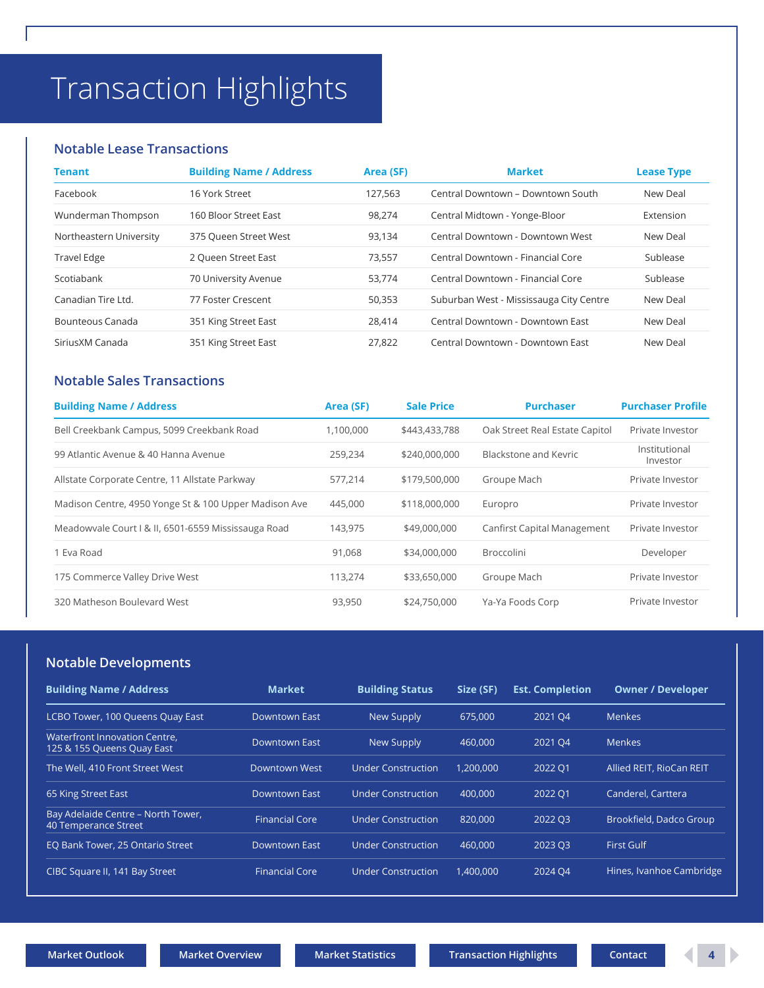# <span id="page-3-0"></span>Transaction Highlights

### **Notable Lease Transactions**

| Tenant                  | <b>Building Name / Address</b> | Area (SF) | <b>Market</b>                           | <b>Lease Type</b> |
|-------------------------|--------------------------------|-----------|-----------------------------------------|-------------------|
| Facebook                | 16 York Street                 | 127.563   | Central Downtown - Downtown South       | New Deal          |
| Wunderman Thompson      | 160 Bloor Street East          | 98.274    | Central Midtown - Yonge-Bloor           | Extension         |
| Northeastern University | 375 Queen Street West          | 93.134    | Central Downtown - Downtown West        | New Deal          |
| <b>Travel Edge</b>      | 2 Queen Street East            | 73,557    | Central Downtown - Financial Core       | Sublease          |
| Scotiabank              | 70 University Avenue           | 53.774    | Central Downtown - Financial Core       | Sublease          |
| Canadian Tire Ltd.      | 77 Foster Crescent             | 50,353    | Suburban West - Mississauga City Centre | New Deal          |
| Bounteous Canada        | 351 King Street East           | 28,414    | Central Downtown - Downtown East        | New Deal          |
| SiriusXM Canada         | 351 King Street East           | 27.822    | Central Downtown - Downtown East        | New Deal          |

## **Notable Sales Transactions**

| <b>Building Name / Address</b>                        | Area (SF) | <b>Sale Price</b> | <b>Purchaser</b>                   | <b>Purchaser Profile</b>  |
|-------------------------------------------------------|-----------|-------------------|------------------------------------|---------------------------|
| Bell Creekbank Campus, 5099 Creekbank Road            | 1,100,000 | \$443,433,788     | Oak Street Real Estate Capitol     | Private Investor          |
| 99 Atlantic Avenue & 40 Hanna Avenue                  | 259.234   | \$240,000,000     | Blackstone and Keyric              | Institutional<br>Investor |
| Allstate Corporate Centre, 11 Allstate Parkway        | 577.214   | \$179,500,000     | Groupe Mach                        | Private Investor          |
| Madison Centre, 4950 Yonge St & 100 Upper Madison Ave | 445,000   | \$118,000,000     | Europro                            | Private Investor          |
| Meadowyale Court I & II, 6501-6559 Mississauga Road   | 143.975   | \$49,000,000      | <b>Canfirst Capital Management</b> | Private Investor          |
| 1 Eva Road                                            | 91.068    | \$34,000,000      | <b>Broccolini</b>                  | Developer                 |
| 175 Commerce Valley Drive West                        | 113.274   | \$33,650,000      | Groupe Mach                        | Private Investor          |
| 320 Matheson Boulevard West                           | 93.950    | \$24,750,000      | Ya-Ya Foods Corp                   | Private Investor          |

# **Notable Developments**

| <b>Building Name / Address</b>                              | <b>Market</b>         | <b>Building Status</b>    | Size (SF) | <b>Est. Completion</b> | <b>Owner / Developer</b> |
|-------------------------------------------------------------|-----------------------|---------------------------|-----------|------------------------|--------------------------|
| LCBO Tower, 100 Queens Quay East                            | Downtown East         | New Supply                | 675,000   | 2021 04                | <b>Menkes</b>            |
| Waterfront Innovation Centre.<br>125 & 155 Queens Quay East | Downtown East         | New Supply                | 460,000   | 2021 Q4                | <b>Menkes</b>            |
| The Well, 410 Front Street West                             | Downtown West         | <b>Under Construction</b> | 1.200.000 | 2022 01                | Allied REIT, RioCan REIT |
| 65 King Street East                                         | Downtown East         | <b>Under Construction</b> | 400,000   | 2022 01                | Canderel, Carttera       |
| Bay Adelaide Centre - North Tower,<br>40 Temperance Street  | <b>Financial Core</b> | Under Construction        | 820,000   | 2022 Q3                | Brookfield, Dadco Group  |
| EQ Bank Tower, 25 Ontario Street                            | Downtown East         | <b>Under Construction</b> | 460,000   | 2023 Q3                | <b>First Gulf</b>        |
| CIBC Square II, 141 Bay Street                              | <b>Financial Core</b> | <b>Under Construction</b> | 1.400.000 | 2024 04                | Hines, Ivanhoe Cambridge |